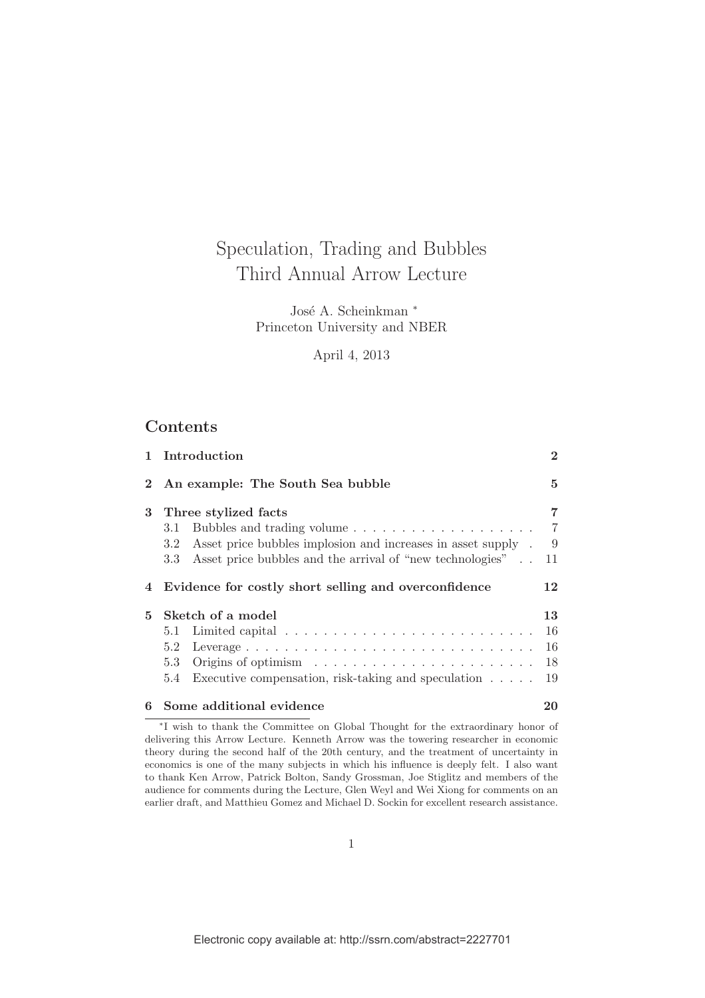## Speculation, Trading and Bubbles Third Annual Arrow Lecture

José A. Scheinkman <sup>∗</sup> Princeton University and NBER

April 4, 2013

## Contents

|             | 1 Introduction                                                                                                                           | $\overline{2}$ |  |  |  |  |  |  |  |  |  |  |  |  |
|-------------|------------------------------------------------------------------------------------------------------------------------------------------|----------------|--|--|--|--|--|--|--|--|--|--|--|--|
| $2^{\circ}$ | An example: The South Sea bubble                                                                                                         |                |  |  |  |  |  |  |  |  |  |  |  |  |
| 3           | Three stylized facts<br>3.1                                                                                                              |                |  |  |  |  |  |  |  |  |  |  |  |  |
|             | Asset price bubbles implosion and increases in asset supply .<br>3.2<br>Asset price bubbles and the arrival of "new technologies"<br>3.3 | - 9<br>-11     |  |  |  |  |  |  |  |  |  |  |  |  |
|             | 4 Evidence for costly short selling and overconfidence                                                                                   |                |  |  |  |  |  |  |  |  |  |  |  |  |
| 5           | Sketch of a model                                                                                                                        |                |  |  |  |  |  |  |  |  |  |  |  |  |
|             | 5.1                                                                                                                                      | 16             |  |  |  |  |  |  |  |  |  |  |  |  |
|             | 5.2                                                                                                                                      | 16             |  |  |  |  |  |  |  |  |  |  |  |  |
|             | Origins of optimism $\ldots \ldots \ldots \ldots \ldots \ldots \ldots$<br>5.3                                                            | 18             |  |  |  |  |  |  |  |  |  |  |  |  |
|             | Executive compensation, risk-taking and speculation $\ldots$ .<br>5.4                                                                    | 19             |  |  |  |  |  |  |  |  |  |  |  |  |
| 6           | Some additional evidence                                                                                                                 | 20             |  |  |  |  |  |  |  |  |  |  |  |  |

∗ I wish to thank the Committee on Global Thought for the extraordinary honor of delivering this Arrow Lecture. Kenneth Arrow was the towering researcher in economic theory during the second half of the 20th century, and the treatment of uncertainty in economics is one of the many subjects in which his influence is deeply felt. I also want to thank Ken Arrow, Patrick Bolton, Sandy Grossman, Joe Stiglitz and members of the audience for comments during the Lecture, Glen Weyl and Wei Xiong for comments on an earlier draft, and Matthieu Gomez and Michael D. Sockin for excellent research assistance.